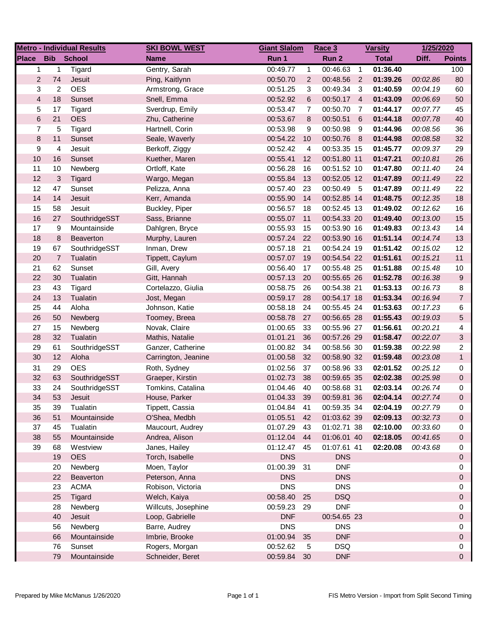| <b>Metro - Individual Results</b> |                |               | <b>SKI BOWL WEST</b> |             | <b>Giant Slalom</b> |             | <b>Varsity</b>  |              | 1/25/2020 |                |
|-----------------------------------|----------------|---------------|----------------------|-------------|---------------------|-------------|-----------------|--------------|-----------|----------------|
| <b>Place</b>                      | <b>Bib</b>     | <b>School</b> | <b>Name</b>          | Run 1       |                     | Run 2       |                 | <b>Total</b> | Diff.     | <b>Points</b>  |
| 1                                 | 1              | Tigard        | Gentry, Sarah        | 00:49.77    | $\mathbf{1}$        | 00:46.63    | $\overline{1}$  | 01:36.40     |           | 100            |
| $\overline{2}$                    | 74             | Jesuit        | Ping, Kaitlynn       | 00:50.70    | $\overline{2}$      | 00:48.56 2  |                 | 01:39.26     | 00:02.86  | 80             |
| 3                                 | $\overline{c}$ | <b>OES</b>    | Armstrong, Grace     | 00:51.25    | 3                   | 00:49.34    | - 3             | 01:40.59     | 00:04.19  | 60             |
| $\overline{\mathbf{4}}$           | 18             | Sunset        | Snell, Emma          | 00:52.92    | 6                   | 00:50.17 4  |                 | 01:43.09     | 00:06.69  | 50             |
| 5                                 | 17             | Tigard        | Sverdrup, Emily      | 00:53.47    | $\overline{7}$      | 00:50.70    | - 7             | 01:44.17     | 00:07.77  | 45             |
| $\,6$                             | 21             | <b>OES</b>    | Zhu, Catherine       | 00:53.67    | 8                   | 00:50.51    | $6\overline{6}$ | 01:44.18     | 00:07.78  | 40             |
| $\overline{\mathcal{I}}$          | 5              | Tigard        | Hartnell, Corin      | 00:53.98    | 9                   | 00:50.98    | - 9             | 01:44.96     | 00:08.56  | 36             |
| 8                                 | 11             | Sunset        | Seale, Waverly       | 00:54.22    | 10                  | 00:50.76 8  |                 | 01:44.98     | 00:08.58  | 32             |
| 9                                 | 4              | Jesuit        | Berkoff, Ziggy       | 00:52.42    | 4                   | 00:53.35 15 |                 | 01:45.77     | 00:09.37  | 29             |
| 10                                | 16             | Sunset        | Kuether, Maren       | 00:55.41    | 12                  | 00:51.80 11 |                 | 01:47.21     | 00:10.81  | 26             |
| 11                                | 10             | Newberg       | Ortloff, Kate        | 00:56.28    | 16                  | 00:51.52 10 |                 | 01:47.80     | 00:11.40  | 24             |
| 12                                | 3              | Tigard        | Wargo, Megan         | 00:55.84    | 13                  | 00:52.05 12 |                 | 01:47.89     | 00:11.49  | 22             |
| 12                                | 47             | Sunset        | Pelizza, Anna        | 00:57.40    | 23                  | 00:50.49 5  |                 | 01:47.89     | 00:11.49  | 22             |
| 14                                | 14             | Jesuit        | Kerr, Amanda         | 00:55.90    | 14                  | 00:52.85 14 |                 | 01:48.75     | 00:12.35  | 18             |
| 15                                | 58             | Jesuit        | Buckley, Piper       | 00:56.57    | 18                  | 00:52.45 13 |                 | 01:49.02     | 00:12.62  | 16             |
| 16                                | 27             | SouthridgeSST | Sass, Brianne        | 00:55.07    | 11                  | 00:54.33 20 |                 | 01:49.40     | 00:13.00  | 15             |
| 17                                | 9              | Mountainside  | Dahlgren, Bryce      | 00:55.93    | 15                  | 00:53.90 16 |                 | 01:49.83     | 00:13.43  | 14             |
| 18                                | 8              | Beaverton     | Murphy, Lauren       | 00:57.24    | 22                  | 00:53.90 16 |                 | 01:51.14     | 00:14.74  | 13             |
| 19                                | 67             | SouthridgeSST | Inman, Drew          | 00:57.18    | 21                  | 00:54.24 19 |                 | 01:51.42     | 00:15.02  | 12             |
| 20                                | $\overline{7}$ | Tualatin      | Tippett, Caylum      | 00:57.07    | 19                  | 00:54.54 22 |                 | 01:51.61     | 00:15.21  | 11             |
| 21                                | 62             | Sunset        | Gill, Avery          | 00:56.40    | 17                  | 00:55.48 25 |                 | 01:51.88     | 00:15.48  | 10             |
| 22                                | 30             | Tualatin      | Gitt, Hannah         | 00:57.13    | 20                  | 00:55.65 26 |                 | 01:52.78     | 00:16.38  | 9              |
| 23                                | 43             | Tigard        | Cortelazzo, Giulia   | 00:58.75    | 26                  | 00:54.38 21 |                 | 01:53.13     | 00:16.73  | 8              |
| 24                                | 13             | Tualatin      | Jost, Megan          | 00:59.17    | 28                  | 00:54.17 18 |                 | 01:53.34     | 00:16.94  | $\overline{7}$ |
| 25                                | 44             | Aloha         | Johnson, Katie       | 00:58.18    | 24                  | 00:55.45 24 |                 | 01:53.63     | 00:17.23  | 6              |
| 26                                | 50             | Newberg       | Toomey, Breea        | 00:58.78    | 27                  | 00:56.65 28 |                 | 01:55.43     | 00:19.03  | 5              |
| 27                                | 15             | Newberg       | Novak, Claire        | 01:00.65    | 33                  | 00:55.96 27 |                 | 01:56.61     | 00:20.21  | 4              |
| 28                                | 32             | Tualatin      | Mathis, Natalie      | 01:01.21    | 36                  | 00:57.26 29 |                 | 01:58.47     | 00:22.07  | 3              |
| 29                                | 61             | SouthridgeSST | Ganzer, Catherine    | 01:00.82    | 34                  | 00:58.56 30 |                 | 01:59.38     | 00:22.98  | $\overline{2}$ |
| 30                                | 12             | Aloha         | Carrington, Jeanine  | 01:00.58    | 32                  | 00:58.90 32 |                 | 01:59.48     | 00:23.08  | $\mathbf{1}$   |
| 31                                | 29             | <b>OES</b>    | Roth, Sydney         | 01:02.56    | 37                  | 00:58.96 33 |                 | 02:01.52     | 00:25.12  | 0              |
| 32                                | 63             | SouthridgeSST | Graeper, Kirstin     | 01:02.73    | 38                  | 00:59.65 35 |                 | 02:02.38     | 00:25.98  | 0              |
| 33                                | 24             | SouthridgeSST | Tomkins, Catalina    | 01:04.46    | 40                  | 00:58.68 31 |                 | 02:03.14     | 00:26.74  | 0              |
| 34                                | 53             | Jesuit        | House, Parker        | 01:04.33    | 39                  | 00:59.81 36 |                 | 02:04.14     | 00:27.74  | $\Omega$       |
| 35                                | 39             | Tualatin      | Tippett, Cassia      | 01:04.84    | 41                  | 00:59.35 34 |                 | 02:04.19     | 00:27.79  | 0              |
| 36                                | 51             | Mountainside  | O'Shea, Medbh        | 01:05.51    | 42                  | 01:03.62 39 |                 | 02:09.13     | 00:32.73  | 0              |
| 37                                | 45             | Tualatin      | Maucourt, Audrey     | 01:07.29    | -43                 | 01:02.71 38 |                 | 02:10.00     | 00:33.60  | 0              |
| 38                                | 55             | Mountainside  | Andrea, Alison       | 01:12.04 44 |                     | 01:06.01 40 |                 | 02:18.05     | 00:41.65  | 0              |
| 39                                | 68             | Westview      | Janes, Hailey        | 01:12.47 45 |                     | 01:07.61 41 |                 | 02:20.08     | 00:43.68  | 0              |
|                                   | 19             | <b>OES</b>    | Torch, Isabelle      | <b>DNS</b>  |                     | <b>DNS</b>  |                 |              |           | 0              |
|                                   | 20             | Newberg       | Moen, Taylor         | 01:00.39    | - 31                | <b>DNF</b>  |                 |              |           | 0              |
|                                   | 22             | Beaverton     | Peterson, Anna       | <b>DNS</b>  |                     | <b>DNS</b>  |                 |              |           | 0              |
|                                   | 23             | <b>ACMA</b>   | Robison, Victoria    | <b>DNS</b>  |                     | <b>DNS</b>  |                 |              |           | 0              |
|                                   | 25             | Tigard        | Welch, Kaiya         | 00:58.40 25 |                     | <b>DSQ</b>  |                 |              |           | 0              |
|                                   | 28             | Newberg       | Willcuts, Josephine  | 00:59.23 29 |                     | <b>DNF</b>  |                 |              |           | 0              |
|                                   | 40             | Jesuit        | Loop, Gabrielle      | <b>DNF</b>  |                     | 00:54.65 23 |                 |              |           | 0              |
|                                   | 56             | Newberg       | Barre, Audrey        | <b>DNS</b>  |                     | <b>DNS</b>  |                 |              |           | 0              |
|                                   | 66             | Mountainside  | Imbrie, Brooke       | 01:00.94    | 35                  | <b>DNF</b>  |                 |              |           | 0              |
|                                   | 76             | Sunset        | Rogers, Morgan       | 00:52.62    | $\sqrt{5}$          | <b>DSQ</b>  |                 |              |           | 0              |
|                                   | 79             | Mountainside  | Schneider, Beret     | 00:59.84    | 30                  | <b>DNF</b>  |                 |              |           | 0              |